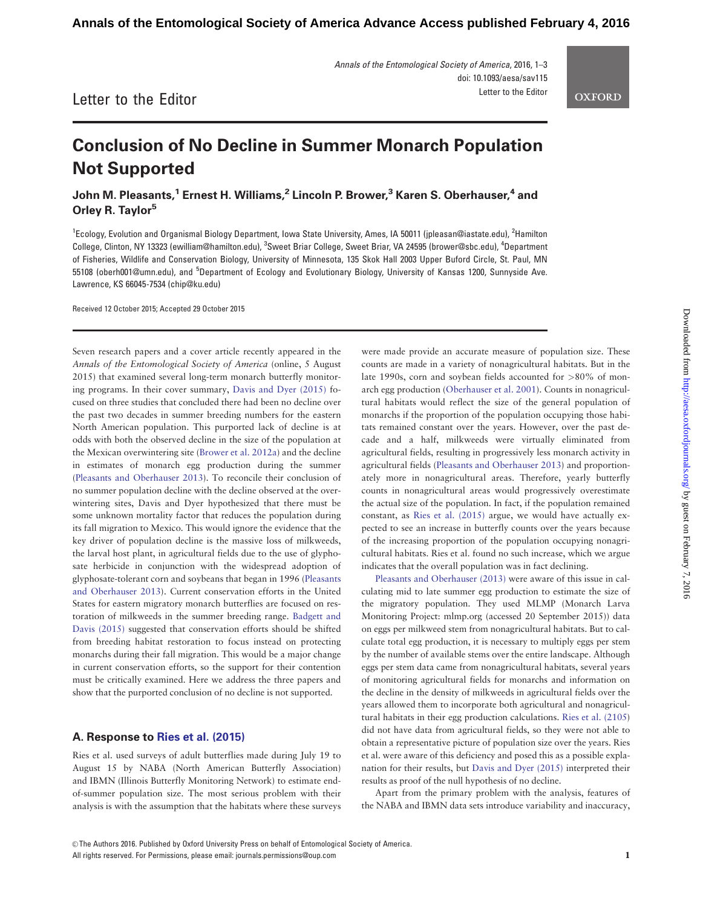Annals of the Entomological Society of America, 2016, 1–3 doi: 10.1093/aesa/sav115 Letter to the Editor

# Letter to the Editor

# Conclusion of No Decline in Summer Monarch Population Not Supported

John M. Pleasants,<sup>1</sup> Ernest H. Williams,<sup>2</sup> Lincoln P. Brower,<sup>3</sup> Karen S. Oberhauser,<sup>4</sup> and Orley R. Taylor<sup>5</sup>

<sup>1</sup>Ecology, Evolution and Organismal Biology Department, Iowa State University, Ames, IA 50011 (jpleasan@iastate.edu), <sup>2</sup>Hamilton College, Clinton, NY 13323 (ewilliam@hamilton.edu), <sup>3</sup>Sweet Briar College, Sweet Briar, VA 24595 (brower@sbc.edu), <sup>4</sup>Department of Fisheries, Wildlife and Conservation Biology, University of Minnesota, 135 Skok Hall 2003 Upper Buford Circle, St. Paul, MN 55108 (oberh001@umn.edu), and <sup>5</sup>Department of Ecology and Evolutionary Biology, University of Kansas 1200, Sunnyside Ave. Lawrence, KS 66045-7534 (chip@ku.edu)

Received 12 October 2015; Accepted 29 October 2015

Seven research papers and a cover article recently appeared in the Annals of the Entomological Society of America (online, 5 August 2015) that examined several long-term monarch butterfly monitoring programs. In their cover summary, [Davis and Dyer \(2015\)](#page-2-0) focused on three studies that concluded there had been no decline over the past two decades in summer breeding numbers for the eastern North American population. This purported lack of decline is at odds with both the observed decline in the size of the population at the Mexican overwintering site ([Brower et al. 2012a](#page-2-0)) and the decline in estimates of monarch egg production during the summer ([Pleasants and Oberhauser 2013\)](#page-2-0). To reconcile their conclusion of no summer population decline with the decline observed at the overwintering sites, Davis and Dyer hypothesized that there must be some unknown mortality factor that reduces the population during its fall migration to Mexico. This would ignore the evidence that the key driver of population decline is the massive loss of milkweeds, the larval host plant, in agricultural fields due to the use of glyphosate herbicide in conjunction with the widespread adoption of glyphosate-tolerant corn and soybeans that began in 1996 ([Pleasants](#page-2-0) [and Oberhauser 2013](#page-2-0)). Current conservation efforts in the United States for eastern migratory monarch butterflies are focused on restoration of milkweeds in the summer breeding range. [Badgett and](#page-2-0) [Davis \(2015\)](#page-2-0) suggested that conservation efforts should be shifted from breeding habitat restoration to focus instead on protecting monarchs during their fall migration. This would be a major change in current conservation efforts, so the support for their contention must be critically examined. Here we address the three papers and show that the purported conclusion of no decline is not supported.

### A. Response to [Ries et al. \(2015\)](#page-2-0)

Ries et al. used surveys of adult butterflies made during July 19 to August 15 by NABA (North American Butterfly Association) and IBMN (Illinois Butterfly Monitoring Network) to estimate endof-summer population size. The most serious problem with their analysis is with the assumption that the habitats where these surveys were made provide an accurate measure of population size. These counts are made in a variety of nonagricultural habitats. But in the late 1990s, corn and soybean fields accounted for >80% of monarch egg production ([Oberhauser et al. 2001](#page-2-0)). Counts in nonagricultural habitats would reflect the size of the general population of monarchs if the proportion of the population occupying those habitats remained constant over the years. However, over the past decade and a half, milkweeds were virtually eliminated from agricultural fields, resulting in progressively less monarch activity in agricultural fields [\(Pleasants and Oberhauser 2013](#page-2-0)) and proportionately more in nonagricultural areas. Therefore, yearly butterfly counts in nonagricultural areas would progressively overestimate the actual size of the population. In fact, if the population remained constant, as [Ries et al. \(2015\)](#page-2-0) argue, we would have actually expected to see an increase in butterfly counts over the years because of the increasing proportion of the population occupying nonagricultural habitats. Ries et al. found no such increase, which we argue indicates that the overall population was in fact declining.

[Pleasants and Oberhauser \(2013\)](#page-2-0) were aware of this issue in calculating mid to late summer egg production to estimate the size of the migratory population. They used MLMP (Monarch Larva Monitoring Project:<mlmp.org> (accessed 20 September 2015)) data on eggs per milkweed stem from nonagricultural habitats. But to calculate total egg production, it is necessary to multiply eggs per stem by the number of available stems over the entire landscape. Although eggs per stem data came from nonagricultural habitats, several years of monitoring agricultural fields for monarchs and information on the decline in the density of milkweeds in agricultural fields over the years allowed them to incorporate both agricultural and nonagricultural habitats in their egg production calculations. [Ries et al. \(2105](#page-2-0)) did not have data from agricultural fields, so they were not able to obtain a representative picture of population size over the years. Ries et al. were aware of this deficiency and posed this as a possible explanation for their results, but [Davis and Dyer \(2015\)](#page-2-0) interpreted their results as proof of the null hypothesis of no decline.

Apart from the primary problem with the analysis, features of the NABA and IBMN data sets introduce variability and inaccuracy,

**OXFORD**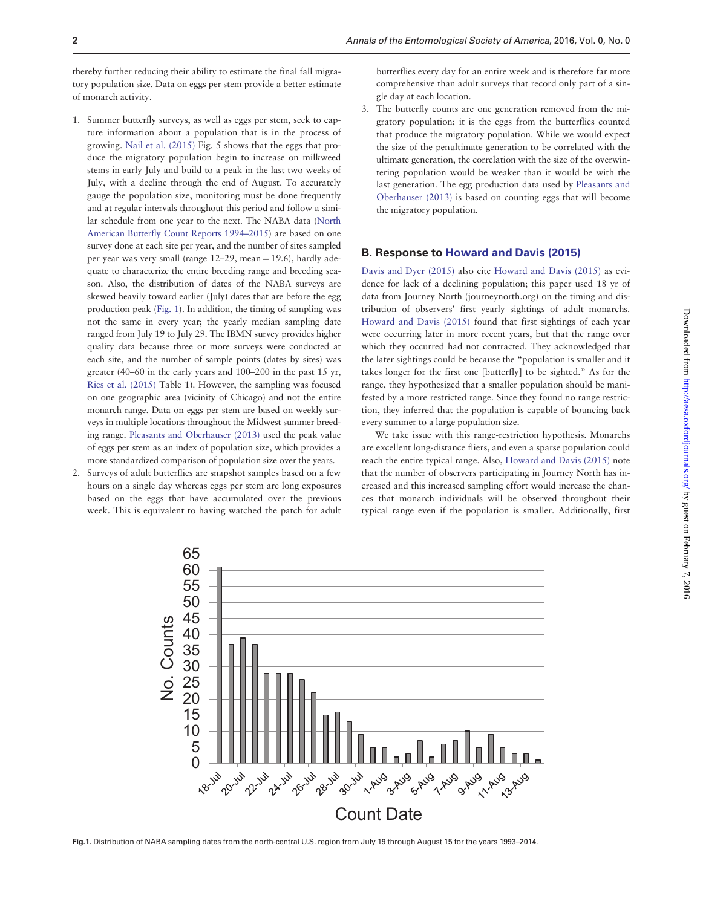thereby further reducing their ability to estimate the final fall migratory population size. Data on eggs per stem provide a better estimate of monarch activity.

- 1. Summer butterfly surveys, as well as eggs per stem, seek to capture information about a population that is in the process of growing. [Nail et al. \(2015\)](#page-2-0) Fig. 5 shows that the eggs that produce the migratory population begin to increase on milkweed stems in early July and build to a peak in the last two weeks of July, with a decline through the end of August. To accurately gauge the population size, monitoring must be done frequently and at regular intervals throughout this period and follow a similar schedule from one year to the next. The NABA data [\(North](#page-2-0) [American Butterfly Count Reports 1994–2015\)](#page-2-0) are based on one survey done at each site per year, and the number of sites sampled per year was very small (range  $12-29$ , mean = 19.6), hardly adequate to characterize the entire breeding range and breeding season. Also, the distribution of dates of the NABA surveys are skewed heavily toward earlier (July) dates that are before the egg production peak (Fig. 1). In addition, the timing of sampling was not the same in every year; the yearly median sampling date ranged from July 19 to July 29. The IBMN survey provides higher quality data because three or more surveys were conducted at each site, and the number of sample points (dates by sites) was greater (40–60 in the early years and 100–200 in the past 15 yr, [Ries et al. \(2015\)](#page-2-0) Table 1). However, the sampling was focused on one geographic area (vicinity of Chicago) and not the entire monarch range. Data on eggs per stem are based on weekly surveys in multiple locations throughout the Midwest summer breeding range. [Pleasants and Oberhauser \(2013\)](#page-2-0) used the peak value of eggs per stem as an index of population size, which provides a more standardized comparison of population size over the years.
- 2. Surveys of adult butterflies are snapshot samples based on a few hours on a single day whereas eggs per stem are long exposures based on the eggs that have accumulated over the previous week. This is equivalent to having watched the patch for adult

butterflies every day for an entire week and is therefore far more comprehensive than adult surveys that record only part of a single day at each location.

3. The butterfly counts are one generation removed from the migratory population; it is the eggs from the butterflies counted that produce the migratory population. While we would expect the size of the penultimate generation to be correlated with the ultimate generation, the correlation with the size of the overwintering population would be weaker than it would be with the last generation. The egg production data used by [Pleasants and](#page-2-0) [Oberhauser \(2013\)](#page-2-0) is based on counting eggs that will become the migratory population.

#### B. Response to [Howard and Davis \(2015\)](#page-2-0)

[Davis and Dyer \(2015\)](#page-2-0) also cite [Howard and Davis \(2015\)](#page-2-0) as evidence for lack of a declining population; this paper used 18 yr of data from Journey North (journeynorth.org) on the timing and distribution of observers' first yearly sightings of adult monarchs. [Howard and Davis \(2015\)](#page-2-0) found that first sightings of each year were occurring later in more recent years, but that the range over which they occurred had not contracted. They acknowledged that the later sightings could be because the "population is smaller and it takes longer for the first one [butterfly] to be sighted." As for the range, they hypothesized that a smaller population should be manifested by a more restricted range. Since they found no range restriction, they inferred that the population is capable of bouncing back every summer to a large population size.

We take issue with this range-restriction hypothesis. Monarchs are excellent long-distance fliers, and even a sparse population could reach the entire typical range. Also, [Howard and Davis \(2015\)](#page-2-0) note that the number of observers participating in Journey North has increased and this increased sampling effort would increase the chances that monarch individuals will be observed throughout their typical range even if the population is smaller. Additionally, first



Fig.1. Distribution of NABA sampling dates from the north-central U.S. region from July 19 through August 15 for the years 1993–2014.